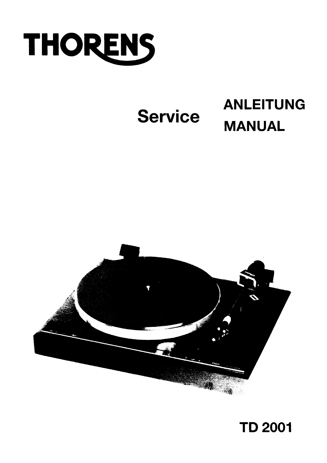

# **Service**

# **ANLEITUNG MANUAL**



## **TD 2001**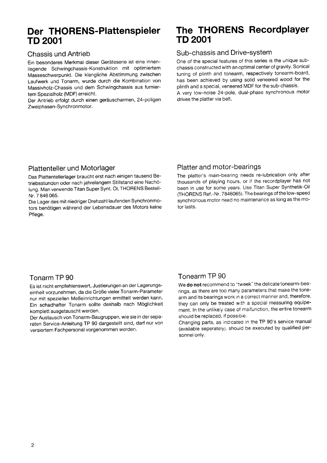# TD 2001 TD 2001

#### Chassis und Antrieb

Ein besonderes Merkmal dieser Geràteserie ist eine innenliegende Schwingchassis-Konstruktion mit optimiertem Masseschwerpunkt. Die klangliche Abstimmung zwischen Laufwerk und Tonarm, wurde durch die Kombination von Massivholz-Chassis und dem Schwingchassis aus furniertem Spezialholz (MDF) erreicht.

Der Antrieb erfolgt durch einen geràuscharmen, 24-poligen Zweiphasen-Synchronmotor.

# Der THORENS-Plattenspieler The THORENS Recordplayer<br>TD 2001

#### Sub-chassis and Drive-sYstem

One of the special features of this series is the unique subchassis constructed with an optimal center of gravity. Sonical tuning of plinth and tonearm, respectively tonearm-board, has been achieved by using solid veneered wood for the plinth and a special, veneered MDF for the sub-chassis. A very low-noise 24-pole, dual-phase synchronous motor drives the platter via belt.

#### Plattenteller und Motorlager

Das Plattentellerlager braucht erst nach einigen tausend Betriebsstunden oder nach jahrelangem Stillstand eine Nachölung. Man verwende Titan Super Synt. Ö1, THORENS Bestell-Nr. 7 846 065.

Die Lager des mit niedriger Drehzahl laufenden Synchronmotors benötigen wàhrend der Lebensdauer des Motors keine Pflege.

#### Platter and motor-bearings

The platter's main-bearing needs re-lubrication only after thousands of playing hours, or iÍ the recordplayer has not been in use for some years. Use Titan Super Synthetik-Oil CfHORENS Ref .-Nr. 7846065). The bearings of the low-speed synchronous motor need no maintenance as long as the motor lasts.

#### Tonarm TP 90

Es ist nicht empÍehlenswert, Justierungen an der Lagerungseinheit vorzunehmen, da die GröBe vieler Tonarm-Parameter nur mit speziellen MeBeinrichtungen ermittelt werden kann. Ein schadhafter Tonarm sollte deshalb nach Möglichkeit komplett ausgetauscht werden.

Der Austausch von Tonarm-Baugruppen, wie sie in der separaten Service-Anleitung TP 90 dargestellt sind, darf nur von versiertem Fachpersonal vorgenommen werden'

#### Tonearm TP 90

We do not recommend to "tweek" the delicate tonearm-bearings, as there are too many parameters that make the tonearm and its bearings work in a correct manner and, therefore, they can only be treated with a special measuring equipement. In the unlikely case of malfunction, the entire tonearm should be replaced, if possible.

Changing parts, as indicated in the TP 90's service manual (available seperately), should be executed by qualified personnel only.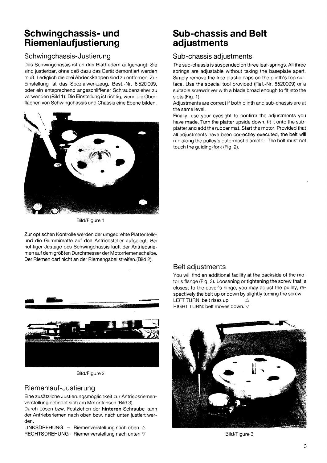### Schwingchassis- und Riemenlaufjustierung

#### Schwingchassis-Justierung

Das Schwingchassis ist an drei Blattfedern aufgehàngt. Sie sind justierbar, ohne daß dazu das Gerät demontiert werden muß. Lediglich die drei Abdeckkappen sind zu entfernen. Zur Einstellung ist das Spezialwerkzeug, Best.-Nr. 6520009, oder ein entsprechend angeschliffener Schraubenzieher zu verwenden (Bild 1). Die Einstellung ist richtig, wenn die Oberflächen von Schwingchassis und Chassis eine Ebene bilden.



Bild/Figure <sup>1</sup>

Zur optischen Kontrolle werden der umgedrehte Plattenteller und die Gummimatte auf den Antriebsteller aufgelegt. Bei richtiger Justage des Schwingchassis làuft der Antriebsriemen auf dem gröBten Durchmesserder Motorriemenscheibe. Der Riemen darf nicht an der Riemengabel streifen.(Bild 2).



Bitd/Figure 2

#### Riemenlauf-Justierung

Eine zusàtzliche Justierungsmöglichkeit zur Antriebsriemenverstellung befindet sich am Motorflansch (Bild 3).

Durch Lösen bzw. Festziehen der hinteren Schraube kann der Antriebsriemen nach oben bzw. nach unten justiert werden.

LINKSDREHUNG - Riemenverstellung nach oben  $\triangle$ RECHTSDREHUNG - Riemenverstellung nach unten  $\nabla$ 

### Sub-chassis and Belt adjustments

#### Sub-chassis adjustments

The sub-chassis is suspended on three leaf-springs. All three springs are adjustable without taking the baseplate apart. Simply remove the tree plastic caps on the plinth's top surface. Use the special tool provided (Ref.-Nr. 6520009) or a suitable screwdriver with a blade broad enough to fit into the slots (Fig. 1).

Adjustments are correct iÍ both plinth and sub-chassis are at the same level.

Finally, use your eyesight to confirm the adjustments you have made. Turn the platter upside down, fit it onto the subplatter and add the rubber mat. Start the motor. Provided that all adjustments have been correctley executed, the belt will run along the pulley's outermost diameter. The belt must not touch the guiding-fork (Fig. 2).

#### Belt adjustments

You will find an additional facility at the backside of the motor's flange (Fig. 3). Loosening or tightening the screw that is closest to the cover's hinge, you may adjust the pulley, respectively the belt up or down by slightly turning the screw. LEFT TURN: belt rises up  $\triangle$ RIGHT TURN: belt moves down.  $\nabla$ 



Bild/Figure 3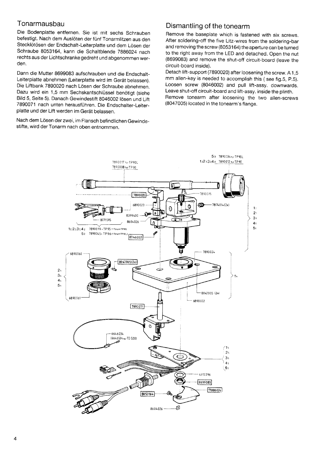#### Tonarmausbau

Die Bodenplatte entfernen. Sie ist mit sechs Schrauben befestigt. Nach dem Auslöten der fünf Tonarmlitzen aus den Stecklötösen der Endschalt-Leiterplatte und dem Lösen der Schraube 8053164, kann die Schaltblende 7886024 nach rechts aus der Lichtschranke gedreht und abgenommen werden.

Dann die Mutter 8699083 aufschrauben und die Endschalt-Leiterplatte abnehmen (Leiterplatte wird im Geràt belassen). Die Liftbank 7890020 nach Lösen der Schraube abnehmen. Dazu wird ein 1,5 mm Sechskantschlüssel benötigt (siehe Bild 5, Seite 5). Danach Gewindestift 8046002 lösen und Lift 7890071 nach unten herausführen. Die Endschalter-Leiterplatte und der Lift werden im Geràt belassen.

Nach dem Lösen der zwei, im Flansch befindlichen Gewindestifte, wird der Tonarm nach oben entnommen.

#### Dismantling of the tonearm

Remove the baseplate which is fastened with six screws. After soldering-off the five Litz-wires from the soldering-bar and removing the screw (8053164) the aperture can be turned to the right away from the LED and detached. Open the nut (8699083) and remove the shut-off circuit-board (leave the circuit-board inside).

Detach lift-support (7890020) after loosening the screw. A 1 ,5 mm allen-key is needed to accomplish this (see fig.5, P.5). Loosen screw (8046002) and pull lift-assy. downwards. Leave shut-off circuit-board and lift-assy. inside the plinth. Remove tonearm after loosening the two allen-screws (8047005) located in the tonearm's flange.

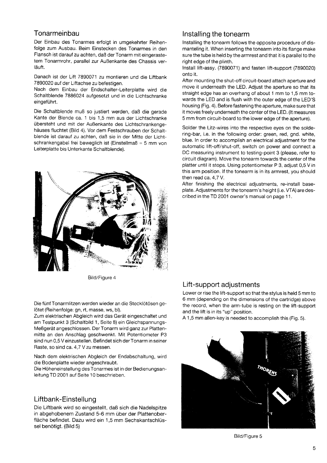#### **Tonarmeinbau**

Der Einbau des Tonarmes erfolgt in umgekehrter Reihenfolge zum Ausbau. Beim Einstecken des Tonarmes in den Flansch íst darauf zu achten, daB der Tonarm mit eingerastetem Tonarmrohr, parallel zur AuBenkante des Chassis verlàuft.

Danach ist der Lift 7890071 zu montieren und die Liftbank 7890020 auf der Liftachse zu befestigen.

Nach dem Einbau der Endschalter-Leiterplatte wird die Schaltblende 7886024 auÍgesetzt und in die Lichtschranke eingeführt.

Die Schaltblende muß so justiert werden, daß die gerade Kante der Blende ca. 1 bis 1,5 mm aus der Lichtschranke übersteht und mit der Außenkante des Lichtschrankengehàuses Íluchtet (Bild 4). Vor dem Festschrauben der Schaltblende ist darauf zu achten, daB sie in der Mitte der Lichtschrankengabel frei beweglich ist (Einstellmaß =  $5 \text{ mm}$  von Leiterplatte bis Unterkante Schaltblende).



Bild/Figure 4

Die fünf Tonarmlitzen werden wieder an die Stecklötösen gelötet (Reihenfolge: gn, rt, masse, ws, bl).

Zum elektrischen Abgleich wird das Geràt eingeschaltet und am Testpunkt 3 (Schaltbild 1, Seite 8) ein Gleichspannungs-MeBgeràt angeschlossen. Der Tonarm wird ganz zur Plattenmitte an den Anschlag geschwenkt. Mit Potentiometer P3 sind nun 0,5 V einzustellen. Befindet sich derTonarm in seiner Raste, so sind ca. 4,7 Y zu messen.

Nach dem elektrischen Abgleich der Endabschaltung, wird die Bodenplatte wieder angeschraubt.

Die Höheneinstellung des Tonarmes ist in der Bedienungsanleitung TD 2001 auf Seite 10 beschrieben.

#### Liftbank-Einstellung

Die Liftbank wird so eingestellt, daB sich die Nadelspitze in abgehobenem Zustand 5-6 mm über der Plattenoberfläche befindet. Dazu wird ein 1,5 mm Sechskantschlüssel benötigt. (Bild 5)

#### lnstalling the tonearm

lnstalling the tonearm follows the opposite procedure of dismanteling it. When inserting the tonearm into its flange make sure the tube is held by the armrest and that it is parallel to the right edge of the plinth.

lnstall lift-assy. (7890071) and fasten lift-support (7890020) onto it.

After mounting the shut-off circuit-board attach aperture and move it underneath the LED. Adjust the aperture so that its straight edge has an overhang of about 1 mm to 1,5 mm towards the LED and is flush with the outer edge of the LED'S housing (Fig. a). Before fastening the aperture, make sure that it moves freely underneath the center of the LED. (lt measures 5 mm from circuit-board to the lower edge of the aperture).

Solder the Litz-wires into the respective eyes on the soldering-bar, i.e. in the following order: green, red, gnd. white, blue. ln order to accomplish an electrical adjustment for the automatic lift-off/shut-off, switch on power and connect a DC measuring instrument to testing-point 3 (please, refer to circuit diagram). Move the tonearm towards the center of the platter until it stops. Using potentiometer P 3, adjust 0,5 V in this arm position. If the tonearm is in its armrest, you should then read ca. 4,7 Y.

After finishing the electrical adjustments, re-install baseplate. Adjustments Íor the tonearm's height (i.e. WA) are described in the TD 2001 owner's manual on page 11.

#### Lift -support adjustments

Lower or rise the lift-support so that the stylus is held 5 mm to 6 mm (depending on the dimensions of the cartridge) above the record, when the arm-tube is resting on the lift-support and the lift is in its "up" position.

A 1,5 mm allen-key is needed to accomplish this (Fig. 5).



Bild/Figure 5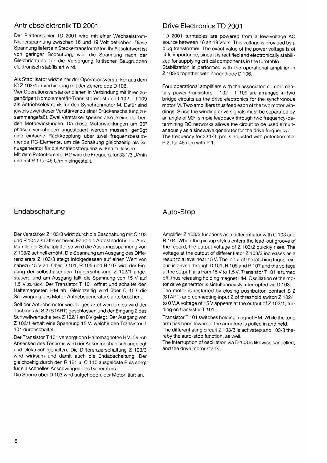#### Antriebselektronik TD 2001

Der Plattenspieler TD 2001 wird mit einer Wechselstrom-Niederspannung zwischen 16 und 19 Volt betrieben. Diese Spannung liefert ein Steckertransformator. Ihr Absolutwert ist von geringer Bedeutung, weil die Spannung nach der Gleichrichtung für die Versorgung kritischer Baugruppen elektronisch stabilisiert wird.

Als Stabilisator wirkt einer der Operationsverstärker aus dem IC Z 103/4 in Verbindung mit der Zenerdiode D 106.

Vier Operationsverstärker dienen in Verbindung mit ihren zugehörigen Komplementär-Transistorendstufen T102 ... T109 als Antriebselektronik für den Synchronmotor M. Dafür sind jeweils zwei dieser Verstärker zu einer Brückenschaltung zusammengefaßt. Zwei Verstärker speisen also je eine der beiden Motorwicklungen. Da diese Motorwicklungen um 90° phasen verschoben angesteuert werden müssen, genügt eine einfache Rückkopplung über zwei frequenzbestimmende RC-Elemente, um die Schaltung gleichzeitig als Sinusgenerator für die Antriebsfrequenz wirken zu lassen.

Mit dem Potentiometer P 2 wird die Frequenz für 331/3 U/min und mit P 1 für 45 U/min eingestellt.

#### Drive Electronics TD 2001

TD 2001 turntables are powered from a low-voltage AC source between 16 an 19 Volts. This voltage is provided by a plug transformer. The exact value of the power voltage is of little importance, since it is rectified and electronically stabilized for supplying critical components in the turntable. Stabilization is performed with the operational amplifier in Z 103/4 together with Zener diode D 106.

Four operational amplifiers with the associated complementary power transistors T 102 - T 109 are arranged in two bridge circuits as the drive electronics for the synchronous motor M. Two amplifiers thus feed each of the two motor windings. Since the winding drive signals must be separated by an angle of 90°, simple feedback through two frequency-determining RC networks allows the circuit to be used simultaneously as a sinewave generator for the drive frequency. The frequency for 331/3 rpm is adjusted with potentiometer P 2, for 45 rpm with P 1.

#### Endabschaltung

Der Verstärker Z 103/3 wirkt durch die Beschaltung mit C 103 und R 104 als Differenzierer. Fährt die Abtastnadel in die Auslaufrille der Schallplatte, so wird die Ausgangsspannung von Z 103/2 schnell erhöht. Die Spannung am Ausgang des Differenzierers Z 103/3 steigt infolgedessen auf einen Wert von nahezu 15 V an. Über D 101, R 105 und R 107 wird der Eingang der selbsthaltenden Triggerschaltung Z 102/1 angesteuert, und am Ausgang fällt die Spannung von 15 V auf 1,5 V zurück. Der Transistor T 101 öffnet und schaltet den Haltemagneten HM ab. Gleichzeitig wird über D 103 die Schwingung des Motor-Antriebsgenerators unterbrochen.

Soll der Antriebsmotor wieder gestartet werden, so wird der Tastkontakt S 2 (START) geschlossen und der Eingang 2 des Schwellwertschalters Z 102/1 an 0V gelegt. Der Ausgang von Z 102/1 erhält eine Spannung 15 V. welche den Transistor T 101 durchschaltet.

Der Transistor T 101 versorgt den Haltemagneten HM. Durch Absenken des Tonarms wird der Anker mechanisch angelegt und elektrisch gehalten. Die Differenzierschaltung Z 103/3 wird wirksam und damit auch die Endabschaltung. Der gleichzeitig durch den R 121 u. C 110 ausgelöste Puls sorgt für ein schnelles Anschwingen des Generators.

Die Sperre über D 103 wird aufgehoben, der Motor läuft an.

#### Auto-Stop

Amplifier Z 103/3 functions as a differentiator with C 103 and R 104. When the pickup stylus enters the lead-out groove of the record, the output voltage of Z 103/2 quickly rises. The voltage at the output of differentiator Z 103/3 increases as a result to a level near 15 V. The input of the latching trigger circuit is driven through D 101, R 105 and R 107 and the voltage at the output falls from 15 V to 1.5 V. Transistor T 101 is turned off, thus releasing holding magnet HM. Oscillation of the motor drive generator is simultaneously interrupted via D 103. The motor is restarted by closing pushbutton contact S 2 (START) and connecting input 2 of threshold switch Z 102/1 to 0 V.A voltage of 15 V appears at the output of Z 102/1, turning on transistor T 101.

Transistor T 101 switches holding magnet HM. While the tone arm has been lowered, the armature is pulled in and held. The differentiating circuit Z 103/3 is activated and 103/3 thereby the auto-stop function, as well.

The interruption of oscillation via D 103 is likewise cancelled, and the drive motor starts.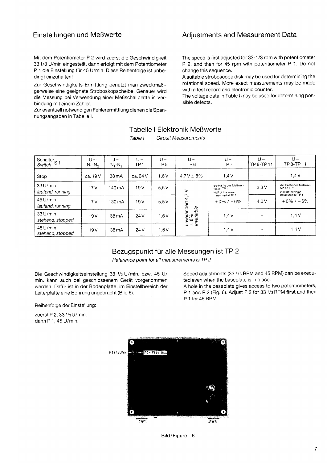#### Einstellungen und Meßwerte

Mit dem Potentiometer P 2 wird zuerst die Geschwindigkeit 331/3 U/min eingestellt, dann erfolgt mit dem Potentiometer P 1 die Einstellung für 45 U/min. Diese Reihenfolge ist unbedingt einzuhalten!

Zur Geschwindigkeits-Ermittlung benutzt man zweckmäßigerweise eine geeignete Stroboskopscheibe. Genauer wird die Messung bei Verwendung einer Meßschallplatte in Verbindung mit einem Zähler.

Zur eventuell notwendigen Fehlerermittlung dienen die Spannungsangaben in Tabelle I.

#### **Adjustments and Measurement Data**

The speed is first adjusted for 33-1/3 rpm with potentiometer P 2, and then for 45 rpm with potentiometer P 1. Do not change this sequence.

A suitable stroboscope disk may be used for determining the rotational speed. More exact measurements may be made with a test record and electronic counter.

The voltage data in Table I may be used for determining possible defects.

#### Tabelle I Elektronik Meßwerte

Schalter<sub>S 1</sub>  $U U U U \sim$  $U U \sim$  $U J \sim$ TP8-TP11 TP<sub>6</sub> TP<sub>7</sub> TP 8-TP 11 Switch  $N, -N_2$  $N_1-N_2$ TP<sub>1</sub> TP<sub>5</sub>  $4.7 V \pm 8\%$  $1.4V$  $1,4V$ ca. 19 V 38 mA ca. 24 V  $1.6V$ Stop 33 U/min die Hälfte des Meßwer-<br>tes an TP 1 die Hälfte des Meßwer-<br>tes an TP 1  $17V$ 140 mA  $19V$  $5,5V$  $3.3V$ unverändert 4,7 V<br>± 8%<br>*invariable* laufend, running Half of the value<br>measured at TP 1 Half of the value<br>measured at TP 1 45 U/min  $+0\% / -6\%$  $4.0V$  $+0\% / -6\%$  $5,5V$  $17V$ 130 mA  $19V$ laufend, running 33 U/min  $1.4V$  $1.4V$  $19V$ 38 mA  $24V$  $1,6V$ stehend, stopped 45 U/min  $1.4V$  $1.4V$  $19V$ 38 mA  $24V$  $1,6V$ stehend, stopped

#### Table I **Circuit Measurements**

#### Bezugspunkt für alle Messungen ist TP 2

Reference point for all measurements is TP 2

Die Geschwindigkeitseinstellung 33 1/3 U/min. bzw. 45 U/ min. kann auch bei geschlossenem Gerät vorgenommen werden. Dafür ist in der Bodenplatte, im Einstellbereich der Leiterplatte eine Bohrung angebracht (Bild 6).

Speed adjustments (33 1/3 RPM and 45 RPM) can be executed even when the baseplate is in place.

A hole in the baseplate gives access to two potentiometers, P 1 and P 2 (Fig. 6). Adjust P 2 for 33 1/3 RPM first and then P 1 for 45 RPM.

Reihenfolge der Einstellung:

zuerst P 2, 33 1/3 U/min. dann P 1, 45 U/min.



Bild/Figure 6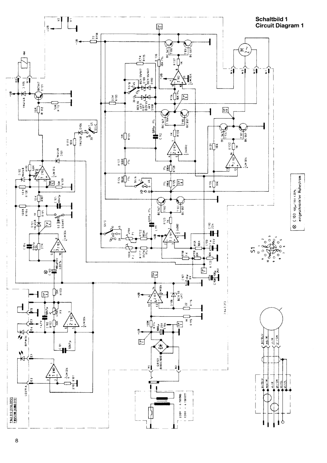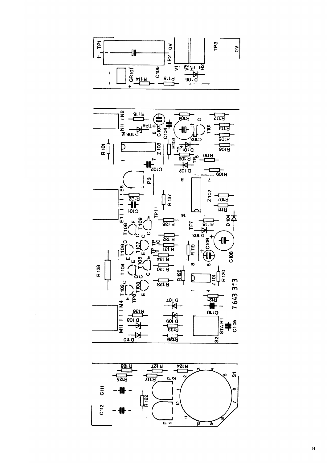



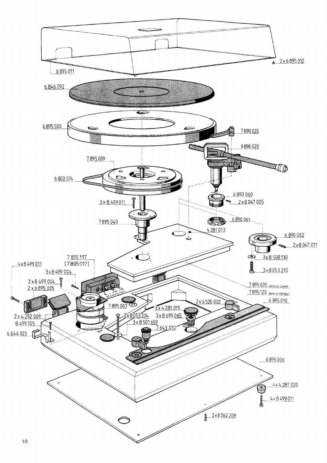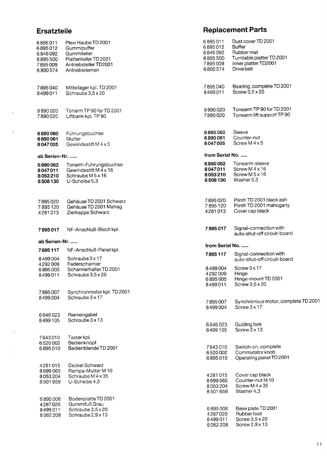### Ersatzteile

 $\sim$   $\sim$ 

 $\mathcal{L}_{\mathcal{A}}$ 

 $\Delta \sim 1$ 

 $\mathcal{L}^{\mathcal{L}}$ 

| 6 895 011<br>6 895 012<br>6 846 092<br>6 895 500 | Plexi Haube TD 2001<br>Gummipuffer<br>Gummiteller<br>Plattenteller TD 2001              | 6895011<br>6895012<br>6846092<br>6895500 | Dust cover TD 2001<br>Buffer<br>Rubber mat<br>Turntable platter TD 2001 |  |  |
|--------------------------------------------------|-----------------------------------------------------------------------------------------|------------------------------------------|-------------------------------------------------------------------------|--|--|
| 7895009<br>6 800 574                             | Antriebsteller TD2001<br>Antriebsriemen                                                 | 7895009<br>6800574                       | Inner platter TD2001<br>Drive belt                                      |  |  |
| 7895040<br>8499011                               | Mittellager kpl. TD 2001<br>Schraube 3,5 x 20                                           | 7895040<br>8499011                       | Bearing, complete TD 2001<br>Screw $3,5 \times 20$                      |  |  |
| 9890020<br>7890020                               | Tonarm TP 90 für TD 2001<br>Liftbank kpl. TP 90                                         | 9890020<br>7890020                       | Tonearm TP 90 for TD 2001<br>Tonearm lift support TP 90                 |  |  |
| 6890060<br>6890061<br>8047005                    | Führungsbuchse<br>Mutter<br>Gewindestift M 4 x 5                                        | 6890060<br>6890061<br>8047005            | Sleeve<br>Counter-nut<br>Screw M 4 x 5                                  |  |  |
| ab Serien-Nr.                                    |                                                                                         |                                          | from Serial No.                                                         |  |  |
| 6890062<br>8047011<br>8053210<br>8508130         | Tonarm-Führungsbuchse<br>Gewindestift M 4 x 16<br>Schraube M 5 x 16<br>$U$ -Scheibe 5,3 | 6890062<br>8047011<br>8053210<br>8508130 | Tonearm-sleeve<br>Screw M 4 x 16<br>Screw M5x16<br>Washer 5,3           |  |  |
| 7895020<br>7895120<br>4281013                    | Gehäuse TD 2001 Schwarz<br>Gehäuse TD 2001 Mahag.<br>Zierkappe Schwarz                  | 7895020<br>7895120<br>4281013            | Plinth TD 2001 black ash<br>Plinth TD 2001 mahogany<br>Cover cap black  |  |  |
| 7895017                                          | NF-Anschluß-Blech kpl.                                                                  | 7895017                                  | Signal-connection with<br>auto-shut-off circuit-board                   |  |  |
| ab Serien-Nr.                                    |                                                                                         | from Serial No.                          |                                                                         |  |  |
| 7895117                                          | NF-Anschluß-Panel kpl.                                                                  | 7895117                                  | Signal-connection with                                                  |  |  |
| 8499004<br>4292009                               | Schraube 3 x 17<br>Federscharnier                                                       |                                          | auto-shut-off circuit-board                                             |  |  |
| 6895005<br>8499011                               | Scharnierhalter TD 2001<br>Schraube 3,5 x 20                                            | 8499004<br>4292009<br>6895005<br>8499011 | Screw 3 x 17<br>Hinge<br>Hinge-mount TD 2001<br>Screw 3,5 x 20          |  |  |
| 7895007                                          | Synchronmotor kpl. TD 2001                                                              |                                          |                                                                         |  |  |
| 8499004                                          | Schraube 3 x 17                                                                         | 7895007<br>8499004                       | Synchronous motor, complete TD 2001<br>Screw 3 x 17                     |  |  |
| 6646023<br>8499105                               | Riemengabel<br>Schraube 3 x 13                                                          | 6646023<br>8499105                       | Guiding fork<br>Screw $3 \times 13$                                     |  |  |
| 7643010                                          | Taster kpl.                                                                             |                                          |                                                                         |  |  |
| 6520002<br>6895010                               | Bedienknopf<br>Bedienblende TD 2001                                                     | 7643010                                  | Switch-on, complete                                                     |  |  |
|                                                  | Deckel Schwarz                                                                          | 6520002<br>6895010                       | Commutator knob<br>Operating panel TD 2001                              |  |  |
| 4281015<br>8699065                               | Rampa-Mutter M 10                                                                       |                                          |                                                                         |  |  |
| 8053204<br>8501659                               | Schraube M 4 x 35<br>U-Scheibe 4,3                                                      | 4281015<br>8699065<br>8053204<br>8501659 | Cover cap black<br>Counter-nut M 10<br>Screw M 4 x 35<br>Washer 4,3     |  |  |
| 6895006<br>4287020                               | Bodenplatte TD 2001<br>Gummifuß Grau                                                    |                                          |                                                                         |  |  |
| 8499011<br>8062208                               | Schraube 3,5 x 20<br>Schraube 2,9 x 13                                                  | 6895006<br>4287020<br>8499011<br>8062208 | Base plate TD 2001<br>Rubber foot<br>Screw 3,5 x 20<br>Screw 2,9 x 13   |  |  |

Replacement Parts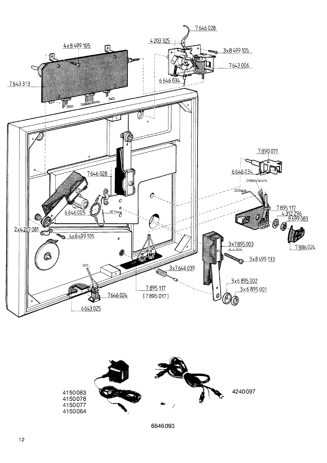